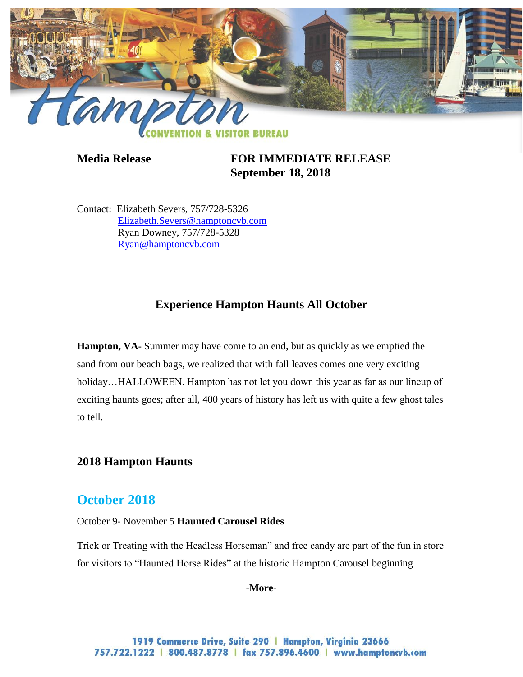

**Media Release FOR IMMEDIATE RELEASE September 18, 2018**

Contact: Elizabeth Severs, 757/728-5326 [Elizabeth.Severs@hamptoncvb.com](mailto:Elizabeth.Severs@hamptoncvb.com) Ryan Downey, 757/728-5328 [Ryan@hamptoncvb.com](mailto:Ryan@hamptoncvb.com)

# **Experience Hampton Haunts All October**

**Hampton, VA-** Summer may have come to an end, but as quickly as we emptied the sand from our beach bags, we realized that with fall leaves comes one very exciting holiday...HALLOWEEN. Hampton has not let you down this year as far as our lineup of exciting haunts goes; after all, 400 years of history has left us with quite a few ghost tales to tell.

## **2018 Hampton Haunts**

## **October 2018**

October 9- November 5 **Haunted Carousel Rides**

Trick or Treating with the Headless Horseman" and free candy are part of the fun in store for visitors to "Haunted Horse Rides" at the historic Hampton Carousel beginning

**-More-**

1919 Commerce Drive, Suite 290 | Hampton, Virginia 23666 757.722.1222 | 800.487.8778 | fax 757.896.4600 | www.hamptoncvb.com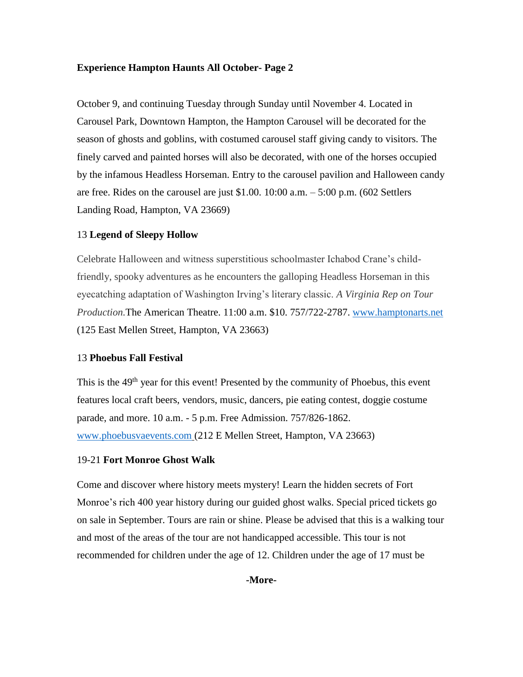### **Experience Hampton Haunts All October- Page 2**

October 9, and continuing Tuesday through Sunday until November 4. Located in Carousel Park, Downtown Hampton, the Hampton Carousel will be decorated for the season of ghosts and goblins, with costumed carousel staff giving candy to visitors. The finely carved and painted horses will also be decorated, with one of the horses occupied by the infamous Headless Horseman. Entry to the carousel pavilion and Halloween candy are free. Rides on the carousel are just \$1.00. 10:00 a.m. – 5:00 p.m. (602 Settlers Landing Road, Hampton, VA 23669)

#### 13 **Legend of Sleepy Hollow**

Celebrate Halloween and witness superstitious schoolmaster Ichabod Crane's childfriendly, spooky adventures as he encounters the galloping Headless Horseman in this eyecatching adaptation of Washington Irving's literary classic. *A Virginia Rep on Tour Production.*The American Theatre. 11:00 a.m. \$10. 757/722-2787. [www.hamptonarts.net](http://www.hamptonarts.net/) (125 East Mellen Street, Hampton, VA 23663)

### 13 **Phoebus Fall Festival**

This is the  $49<sup>th</sup>$  year for this event! Presented by the community of Phoebus, this event features local craft beers, vendors, music, dancers, pie eating contest, doggie costume parade, and more. 10 a.m. - 5 p.m. Free Admission. 757/826-1862. [www.phoebusvaevents.com](http://www.phoebusvaevents.com/) (212 E Mellen Street, Hampton, VA 23663)

#### 19-21 **Fort Monroe Ghost Walk**

Come and discover where history meets mystery! Learn the hidden secrets of Fort Monroe's rich 400 year history during our guided ghost walks. Special priced tickets go on sale in September. Tours are rain or shine. Please be advised that this is a walking tour and most of the areas of the tour are not handicapped accessible. This tour is not recommended for children under the age of 12. Children under the age of 17 must be

**-More-**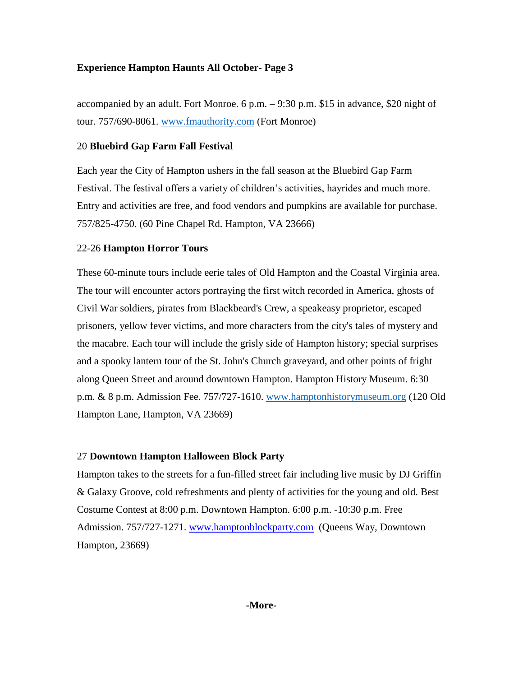### **Experience Hampton Haunts All October- Page 3**

accompanied by an adult. Fort Monroe. 6 p.m. – 9:30 p.m. \$15 in advance, \$20 night of tour. 757/690-8061. [www.fmauthority.com](http://www.fmauthority.com/) (Fort Monroe)

### 20 **Bluebird Gap Farm Fall Festival**

Each year the City of Hampton ushers in the fall season at the Bluebird Gap Farm Festival. The festival offers a variety of children's activities, hayrides and much more. Entry and activities are free, and food vendors and pumpkins are available for purchase. 757/825-4750. (60 Pine Chapel Rd. Hampton, VA 23666)

### 22-26 **Hampton Horror Tours**

These 60-minute tours include eerie tales of Old Hampton and the Coastal Virginia area. The tour will encounter actors portraying the first witch recorded in America, ghosts of Civil War soldiers, pirates from Blackbeard's Crew, a speakeasy proprietor, escaped prisoners, yellow fever victims, and more characters from the city's tales of mystery and the macabre. Each tour will include the grisly side of Hampton history; special surprises and a spooky lantern tour of the St. John's Church graveyard, and other points of fright along Queen Street and around downtown Hampton. Hampton History Museum. 6:30 p.m. & 8 p.m. Admission Fee. 757/727-1610. [www.hamptonhistorymuseum.org](http://www.hamptonhistorymuseum.org/) (120 Old Hampton Lane, Hampton, VA 23669)

### 27 **Downtown Hampton Halloween Block Party**

Hampton takes to the streets for a fun-filled street fair including live music by DJ Griffin & Galaxy Groove, cold refreshments and plenty of activities for the young and old. Best Costume Contest at 8:00 p.m. Downtown Hampton. 6:00 p.m. -10:30 p.m. Free Admission. 757/727-1271. [www.hamptonblockparty.com](http://www.hamptonblockparty.com/) (Queens Way, Downtown Hampton, 23669)